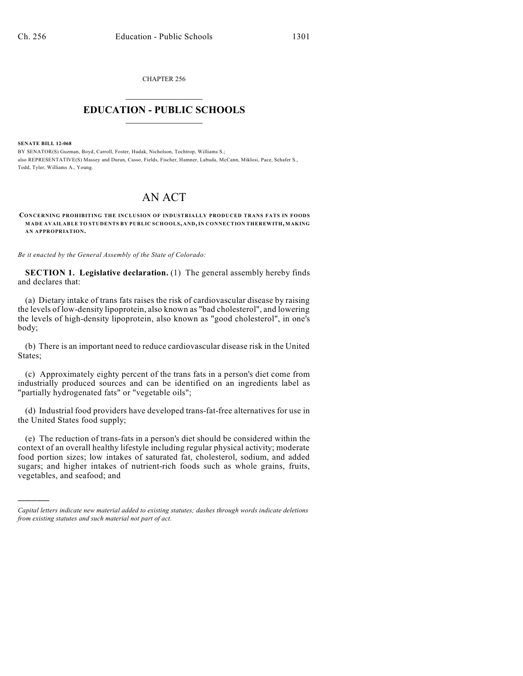CHAPTER 256  $\overline{\phantom{a}}$  . The set of the set of the set of the set of the set of the set of the set of the set of the set of the set of the set of the set of the set of the set of the set of the set of the set of the set of the set o

## **EDUCATION - PUBLIC SCHOOLS**  $\_$   $\_$   $\_$   $\_$   $\_$   $\_$   $\_$   $\_$   $\_$

**SENATE BILL 12-068**

)))))

BY SENATOR(S) Guzman, Boyd, Carroll, Foster, Hudak, Nicholson, Tochtrop, Williams S.; also REPRESENTATIVE(S) Massey and Duran, Casso, Fields, Fischer, Hamner, Labuda, McCann, Miklosi, Pace, Schafer S., Todd, Tyler, Williams A., Young.

## AN ACT

**CONCERNING PROHIBITING THE INCLUSION OF INDUSTRIALLY PRODUCED TRANS FATS IN FOODS MADE AVAILABLE TO STUDENTS BY PUBLIC SCHOOLS, AND,IN CONNECTION THEREWITH, MAKING AN APPROPRIATION.**

*Be it enacted by the General Assembly of the State of Colorado:*

**SECTION 1. Legislative declaration.** (1) The general assembly hereby finds and declares that:

(a) Dietary intake of trans fats raises the risk of cardiovascular disease by raising the levels of low-density lipoprotein, also known as "bad cholesterol", and lowering the levels of high-density lipoprotein, also known as "good cholesterol", in one's body;

(b) There is an important need to reduce cardiovascular disease risk in the United States;

(c) Approximately eighty percent of the trans fats in a person's diet come from industrially produced sources and can be identified on an ingredients label as "partially hydrogenated fats" or "vegetable oils";

(d) Industrial food providers have developed trans-fat-free alternatives for use in the United States food supply;

(e) The reduction of trans-fats in a person's diet should be considered within the context of an overall healthy lifestyle including regular physical activity; moderate food portion sizes; low intakes of saturated fat, cholesterol, sodium, and added sugars; and higher intakes of nutrient-rich foods such as whole grains, fruits, vegetables, and seafood; and

*Capital letters indicate new material added to existing statutes; dashes through words indicate deletions from existing statutes and such material not part of act.*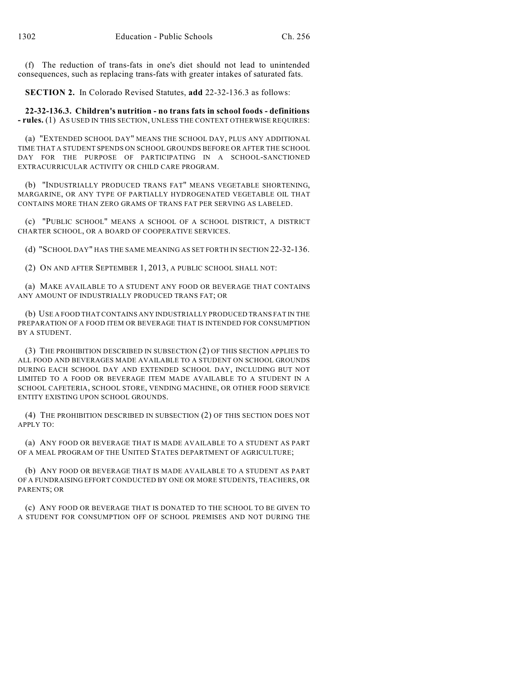(f) The reduction of trans-fats in one's diet should not lead to unintended consequences, such as replacing trans-fats with greater intakes of saturated fats.

**SECTION 2.** In Colorado Revised Statutes, **add** 22-32-136.3 as follows:

**22-32-136.3. Children's nutrition - no trans fats in school foods - definitions - rules.** (1) AS USED IN THIS SECTION, UNLESS THE CONTEXT OTHERWISE REQUIRES:

(a) "EXTENDED SCHOOL DAY" MEANS THE SCHOOL DAY, PLUS ANY ADDITIONAL TIME THAT A STUDENT SPENDS ON SCHOOL GROUNDS BEFORE OR AFTER THE SCHOOL DAY FOR THE PURPOSE OF PARTICIPATING IN A SCHOOL-SANCTIONED EXTRACURRICULAR ACTIVITY OR CHILD CARE PROGRAM.

(b) "INDUSTRIALLY PRODUCED TRANS FAT" MEANS VEGETABLE SHORTENING, MARGARINE, OR ANY TYPE OF PARTIALLY HYDROGENATED VEGETABLE OIL THAT CONTAINS MORE THAN ZERO GRAMS OF TRANS FAT PER SERVING AS LABELED.

(c) "PUBLIC SCHOOL" MEANS A SCHOOL OF A SCHOOL DISTRICT, A DISTRICT CHARTER SCHOOL, OR A BOARD OF COOPERATIVE SERVICES.

(d) "SCHOOL DAY" HAS THE SAME MEANING AS SET FORTH IN SECTION 22-32-136.

(2) ON AND AFTER SEPTEMBER 1, 2013, A PUBLIC SCHOOL SHALL NOT:

(a) MAKE AVAILABLE TO A STUDENT ANY FOOD OR BEVERAGE THAT CONTAINS ANY AMOUNT OF INDUSTRIALLY PRODUCED TRANS FAT; OR

(b) USE A FOOD THATCONTAINS ANY INDUSTRIALLY PRODUCED TRANS FAT IN THE PREPARATION OF A FOOD ITEM OR BEVERAGE THAT IS INTENDED FOR CONSUMPTION BY A STUDENT.

(3) THE PROHIBITION DESCRIBED IN SUBSECTION (2) OF THIS SECTION APPLIES TO ALL FOOD AND BEVERAGES MADE AVAILABLE TO A STUDENT ON SCHOOL GROUNDS DURING EACH SCHOOL DAY AND EXTENDED SCHOOL DAY, INCLUDING BUT NOT LIMITED TO A FOOD OR BEVERAGE ITEM MADE AVAILABLE TO A STUDENT IN A SCHOOL CAFETERIA, SCHOOL STORE, VENDING MACHINE, OR OTHER FOOD SERVICE ENTITY EXISTING UPON SCHOOL GROUNDS.

(4) THE PROHIBITION DESCRIBED IN SUBSECTION (2) OF THIS SECTION DOES NOT APPLY TO:

(a) ANY FOOD OR BEVERAGE THAT IS MADE AVAILABLE TO A STUDENT AS PART OF A MEAL PROGRAM OF THE UNITED STATES DEPARTMENT OF AGRICULTURE;

(b) ANY FOOD OR BEVERAGE THAT IS MADE AVAILABLE TO A STUDENT AS PART OF A FUNDRAISING EFFORT CONDUCTED BY ONE OR MORE STUDENTS, TEACHERS, OR PARENTS; OR

(c) ANY FOOD OR BEVERAGE THAT IS DONATED TO THE SCHOOL TO BE GIVEN TO A STUDENT FOR CONSUMPTION OFF OF SCHOOL PREMISES AND NOT DURING THE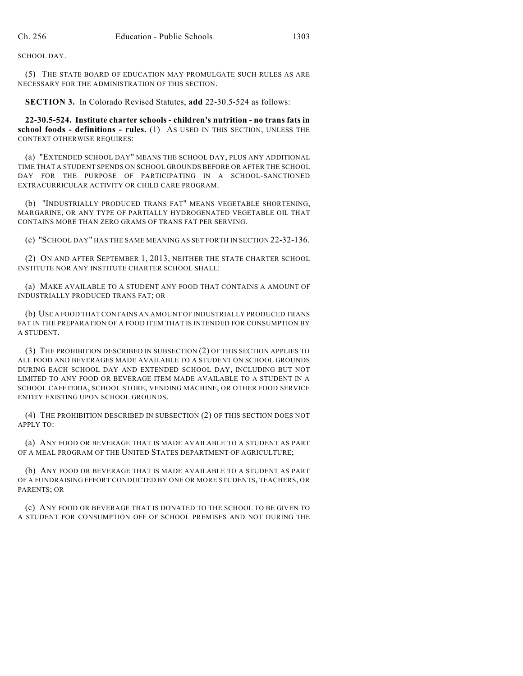SCHOOL DAY.

(5) THE STATE BOARD OF EDUCATION MAY PROMULGATE SUCH RULES AS ARE NECESSARY FOR THE ADMINISTRATION OF THIS SECTION.

**SECTION 3.** In Colorado Revised Statutes, **add** 22-30.5-524 as follows:

**22-30.5-524. Institute charter schools - children's nutrition - no trans fats in school foods - definitions - rules.** (1) AS USED IN THIS SECTION, UNLESS THE CONTEXT OTHERWISE REQUIRES:

(a) "EXTENDED SCHOOL DAY" MEANS THE SCHOOL DAY, PLUS ANY ADDITIONAL TIME THAT A STUDENT SPENDS ON SCHOOL GROUNDS BEFORE OR AFTER THE SCHOOL DAY FOR THE PURPOSE OF PARTICIPATING IN A SCHOOL-SANCTIONED EXTRACURRICULAR ACTIVITY OR CHILD CARE PROGRAM.

(b) "INDUSTRIALLY PRODUCED TRANS FAT" MEANS VEGETABLE SHORTENING, MARGARINE, OR ANY TYPE OF PARTIALLY HYDROGENATED VEGETABLE OIL THAT CONTAINS MORE THAN ZERO GRAMS OF TRANS FAT PER SERVING.

(c) "SCHOOL DAY" HAS THE SAME MEANING AS SET FORTH IN SECTION 22-32-136.

(2) ON AND AFTER SEPTEMBER 1, 2013, NEITHER THE STATE CHARTER SCHOOL INSTITUTE NOR ANY INSTITUTE CHARTER SCHOOL SHALL:

(a) MAKE AVAILABLE TO A STUDENT ANY FOOD THAT CONTAINS A AMOUNT OF INDUSTRIALLY PRODUCED TRANS FAT; OR

(b) USE A FOOD THAT CONTAINS AN AMOUNT OF INDUSTRIALLY PRODUCED TRANS FAT IN THE PREPARATION OF A FOOD ITEM THAT IS INTENDED FOR CONSUMPTION BY A STUDENT.

(3) THE PROHIBITION DESCRIBED IN SUBSECTION (2) OF THIS SECTION APPLIES TO ALL FOOD AND BEVERAGES MADE AVAILABLE TO A STUDENT ON SCHOOL GROUNDS DURING EACH SCHOOL DAY AND EXTENDED SCHOOL DAY, INCLUDING BUT NOT LIMITED TO ANY FOOD OR BEVERAGE ITEM MADE AVAILABLE TO A STUDENT IN A SCHOOL CAFETERIA, SCHOOL STORE, VENDING MACHINE, OR OTHER FOOD SERVICE ENTITY EXISTING UPON SCHOOL GROUNDS.

(4) THE PROHIBITION DESCRIBED IN SUBSECTION (2) OF THIS SECTION DOES NOT APPLY TO:

(a) ANY FOOD OR BEVERAGE THAT IS MADE AVAILABLE TO A STUDENT AS PART OF A MEAL PROGRAM OF THE UNITED STATES DEPARTMENT OF AGRICULTURE;

(b) ANY FOOD OR BEVERAGE THAT IS MADE AVAILABLE TO A STUDENT AS PART OF A FUNDRAISING EFFORT CONDUCTED BY ONE OR MORE STUDENTS, TEACHERS, OR PARENTS; OR

(c) ANY FOOD OR BEVERAGE THAT IS DONATED TO THE SCHOOL TO BE GIVEN TO A STUDENT FOR CONSUMPTION OFF OF SCHOOL PREMISES AND NOT DURING THE